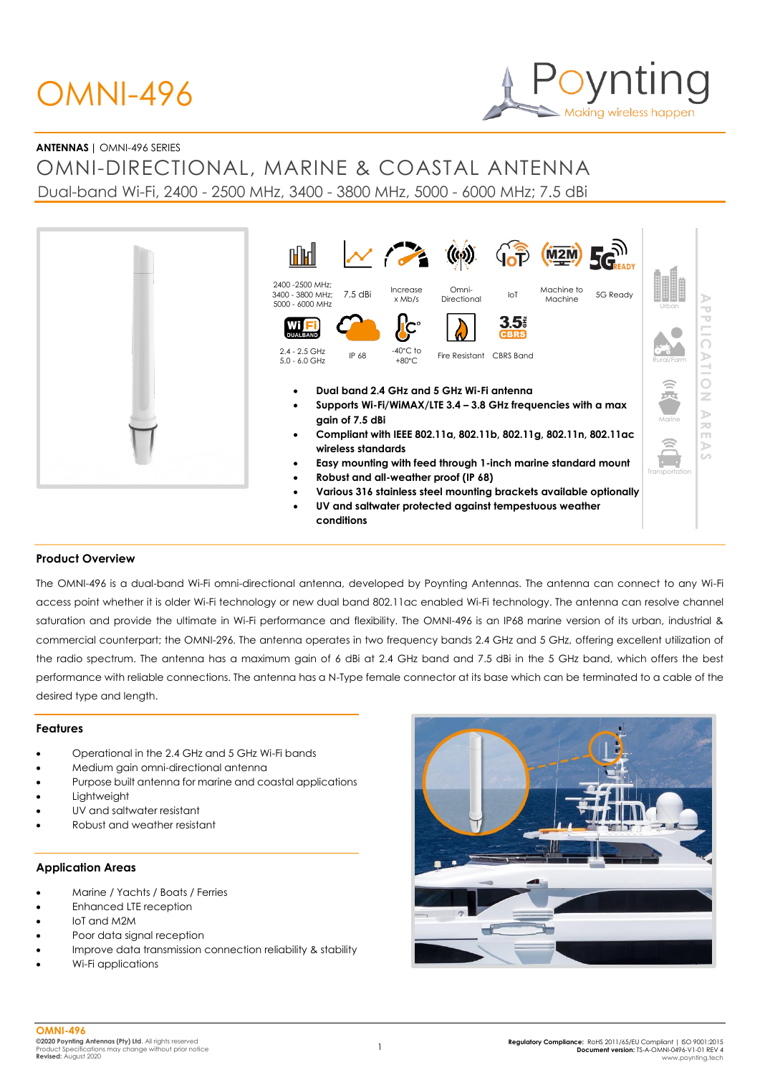# OMNI-496



# **ANTENNAS |** OMNI-496 SERIES

OMNI-DIRECTIONAL, MARINE & COASTAL ANTENNA Dual-band Wi-Fi, 2400 - 2500 MHz, 3400 - 3800 MHz, 5000 - 6000 MHz; 7.5 dBi





## **Product Overview**

The OMNI-496 is a dual-band Wi-Fi omni-directional antenna, developed by Poynting Antennas. The antenna can connect to any Wi-Fi access point whether it is older Wi-Fi technology or new dual band 802.11ac enabled Wi-Fi technology. The antenna can resolve channel saturation and provide the ultimate in Wi-Fi performance and flexibility. The OMNI-496 is an IP68 marine version of its urban, industrial & commercial counterpart; the OMNI-296. The antenna operates in two frequency bands 2.4 GHz and 5 GHz, offering excellent utilization of the radio spectrum. The antenna has a maximum gain of 6 dBi at 2.4 GHz band and 7.5 dBi in the 5 GHz band, which offers the best performance with reliable connections. The antenna has a N-Type female connector at its base which can be terminated to a cable of the desired type and length.

#### **Features**

- Operational in the 2.4 GHz and 5 GHz Wi-Fi bands
- Medium gain omni-directional antenna
- Purpose built antenna for marine and coastal applications
- **Lightweight**
- UV and saltwater resistant
- Robust and weather resistant

#### **Application Areas**

- Marine / Yachts / Boats / Ferries
- Enhanced LTE reception
- loT and M2M
- Poor data signal reception
- Improve data transmission connection reliability & stability
- Wi-Fi applications

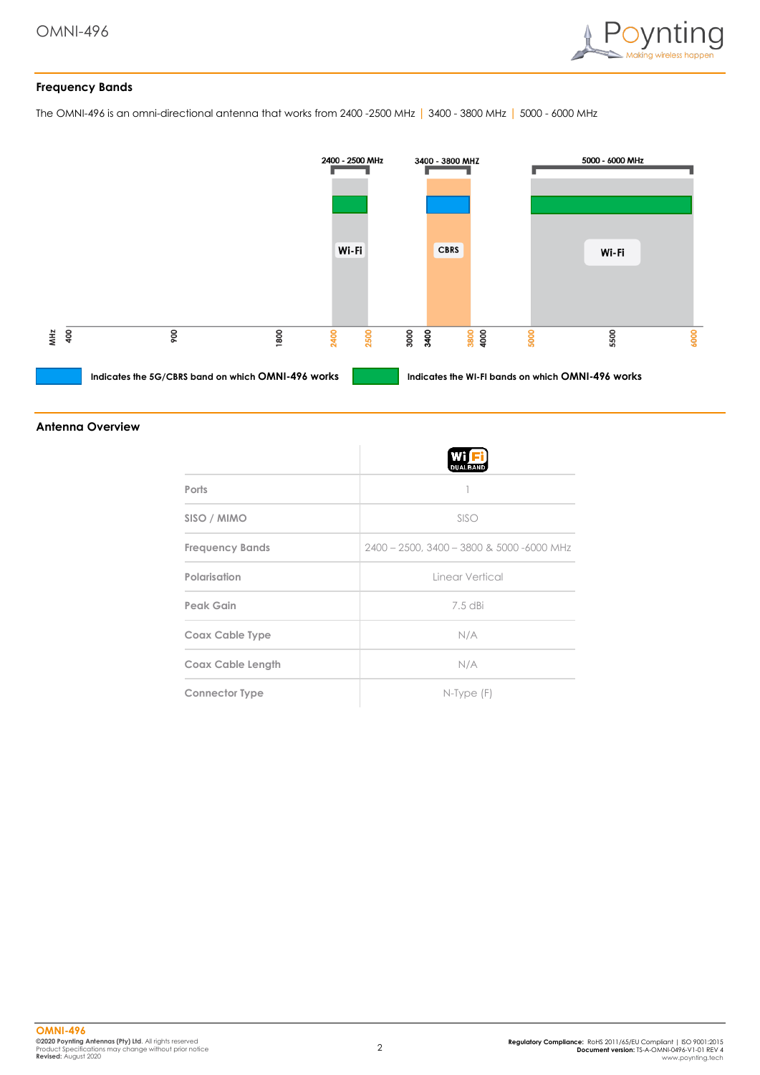

# **Frequency Bands**

The OMNI-496 is an omni-directional antenna that works from 2400 -2500 MHz | 3400 - 3800 MHz | 5000 - 6000 MHz



#### **Antenna Overview**

|                          | <b>DUALBAND</b>                           |
|--------------------------|-------------------------------------------|
| Ports                    |                                           |
| SISO / MIMO              | SISO                                      |
| <b>Frequency Bands</b>   | 2400 - 2500, 3400 - 3800 & 5000 -6000 MHz |
| Polarisation             | Linear Vertical                           |
| Peak Gain                | $7.5$ dBi                                 |
| Coax Cable Type          | N/A                                       |
| <b>Coax Cable Length</b> | N/A                                       |
| <b>Connector Type</b>    | $N$ -Type $(F)$                           |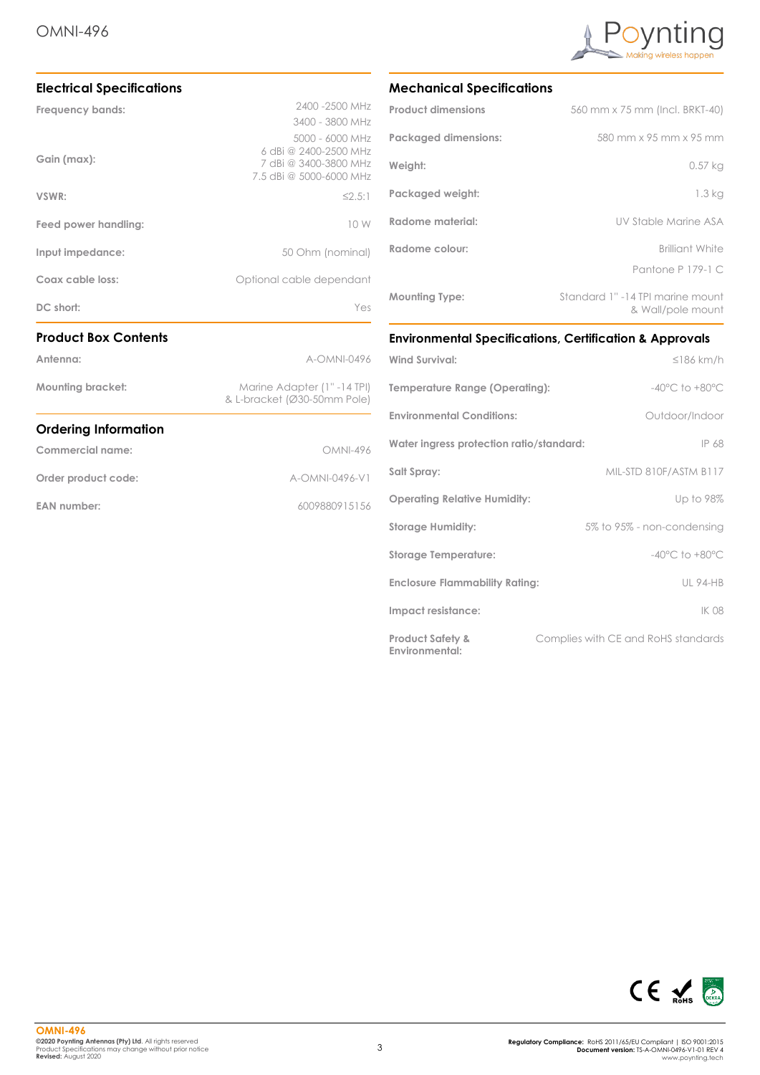

| Order product code:              | A-OMNI-0496-V1                                                                               |  |
|----------------------------------|----------------------------------------------------------------------------------------------|--|
| Commercial name:                 | OMNI-496                                                                                     |  |
| <b>Ordering Information</b>      |                                                                                              |  |
| <b>Mounting bracket:</b>         | Marine Adapter (1" -14 TPI)<br>& L-bracket (Ø30-50mm Pole)                                   |  |
| Antenna:                         | A-OMNI-0496                                                                                  |  |
| <b>Product Box Contents</b>      |                                                                                              |  |
| DC short:                        | Yes                                                                                          |  |
| Coax cable loss:                 | Optional cable dependant                                                                     |  |
| Input impedance:                 | 50 Ohm (nominal)                                                                             |  |
| Feed power handling:             | 10 W                                                                                         |  |
| VSWR:                            | $\leq 2.5:1$                                                                                 |  |
| Gain (max):                      | 5000 - 6000 MHz<br>6 dBi @ 2400-2500 MHz<br>7 dBi @ 3400-3800 MHz<br>7.5 dBi @ 5000-6000 MHz |  |
| Frequency bands:                 | 2400 - 2500 MHz<br>3400 - 3800 MHz                                                           |  |
| <b>Electrical Specifications</b> |                                                                                              |  |

# **Mechanical Specifications**

| <b>Product dimensions</b>   | 560 mm x 75 mm (Incl. BRKT-40)                        |
|-----------------------------|-------------------------------------------------------|
| <b>Packaged dimensions:</b> | 580 mm x 95 mm x 95 mm                                |
| Weight:                     | 0.57 kg                                               |
| Packaged weight:            | 1.3 kg                                                |
| Radome material:            | UV Stable Marine ASA                                  |
| Radome colour:              | <b>Brilliant White</b>                                |
|                             | Pantone P 179-1 C                                     |
| <b>Mounting Type:</b>       | Standard 1" -14 TPI marine mount<br>& Wall/pole mount |

# **Environmental Specifications, Certification & Approvals**

| <b>Wind Survival:</b>                         | $\leq$ 186 km/h                     |
|-----------------------------------------------|-------------------------------------|
| Temperature Range (Operating):                | $-40^{\circ}$ C to $+80^{\circ}$ C  |
| <b>Environmental Conditions:</b>              | Outdoor/Indoor                      |
| Water ingress protection ratio/standard:      | IP 68                               |
| Salt Spray:                                   | MIL-STD 810F/ASTM B117              |
| <b>Operating Relative Humidity:</b>           | Up to 98%                           |
| <b>Storage Humidity:</b>                      | 5% to 95% - non-condensing          |
| <b>Storage Temperature:</b>                   | $-40^{\circ}$ C to $+80^{\circ}$ C  |
| <b>Enclosure Flammability Rating:</b>         | <b>UL 94-HB</b>                     |
| Impact resistance:                            | <b>IK 08</b>                        |
| <b>Product Safety &amp;</b><br>Environmental: | Complies with CE and RoHS standards |

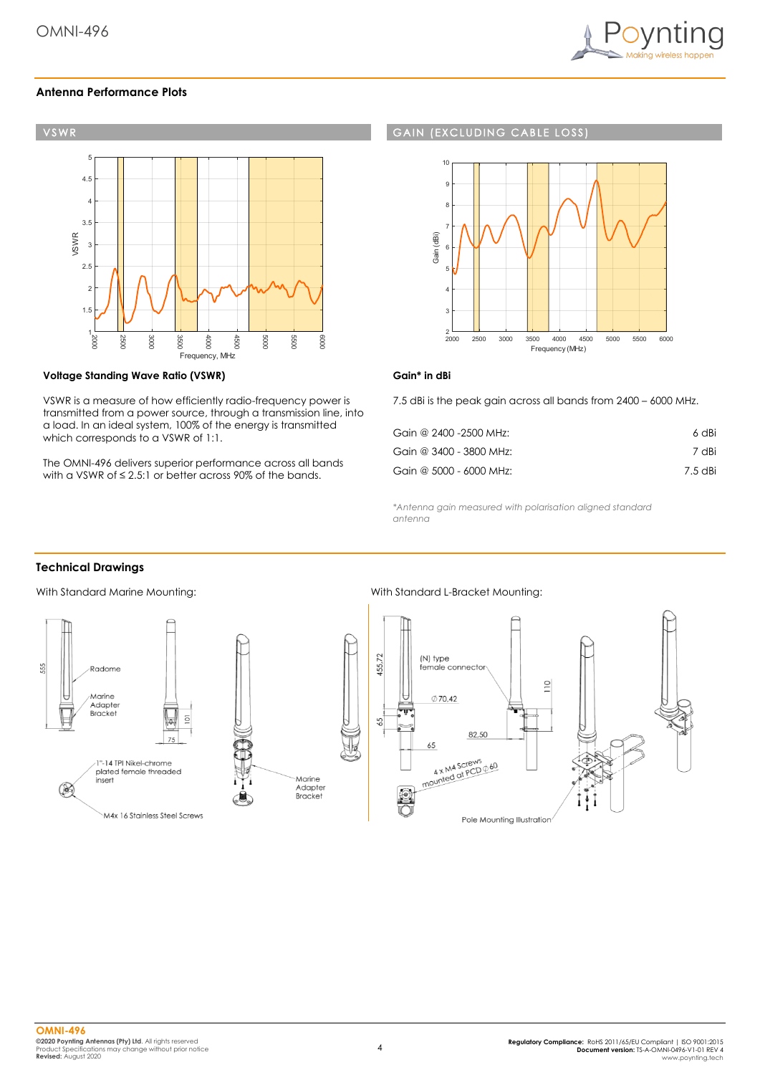

## **Antenna Performance Plots**



#### **Voltage Standing Wave Ratio (VSWR)**

VSWR is a measure of how efficiently radio-frequency power is transmitted from a power source, through a transmission line, into a load. In an ideal system, 100% of the energy is transmitted which corresponds to a VSWR of 1:1.

The OMNI-496 delivers superior performance across all bands with a VSWR of ≤ 2.5:1 or better across 90% of the bands.

#### **GAIN (EXCLUDING CABLE LOSS**



## **Gain\* in dBi**

7.5 dBi is the peak gain across all bands from 2400 – 6000 MHz.

| Gain @ 2400 -2500 MHz:  | 6 dBi   |
|-------------------------|---------|
| Gain @ 3400 - 3800 MHz: | 7 dBi   |
| Gain @ 5000 - 6000 MHz: | 7.5 dBi |

*\*Antenna gain measured with polarisation aligned standard antenna*

## **Technical Drawings**